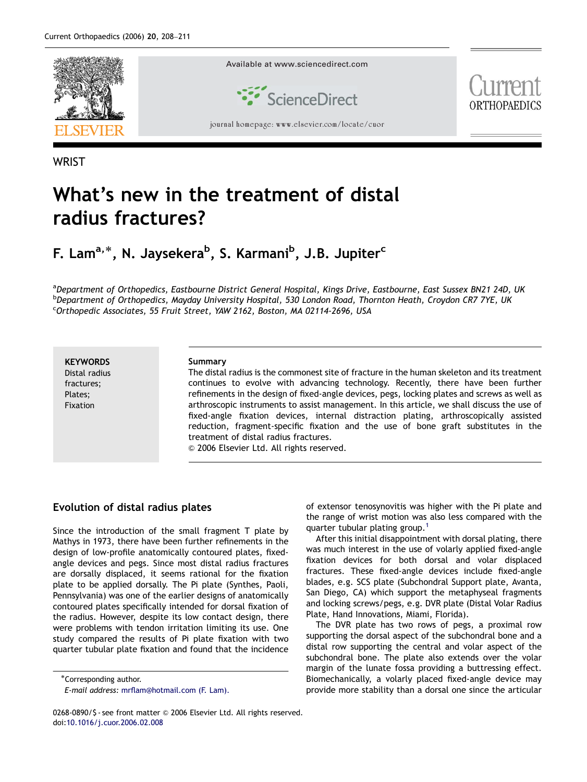

**WRIST** 

# What's new in the treatment of distal radius fractures?

# F. Lam<sup>a,\*</sup>, N. Jaysekera<sup>b</sup>, S. Karmani<sup>b</sup>, J.B. Jupiter<sup>c</sup>

<sup>a</sup>Department of Orthopedics, Eastbourne District General Hospital, Kings Drive, Eastbourne, East Sussex BN21 24D, UK <sup>b</sup>Department of Orthopedics, Mayday University Hospital, 530 London Road, Thornton Heath, Croydon CR7 7YE, UK <sup>c</sup>Orthopedic Associates, 55 Fruit Street, YAW 2162, Boston, MA 02114-2696, USA

**KEYWORDS** Distal radius fractures; Plates; Fixation

#### Summary

The distal radius is the commonest site of fracture in the human skeleton and its treatment continues to evolve with advancing technology. Recently, there have been further refinements in the design of fixed-angle devices, pegs, locking plates and screws as well as arthroscopic instruments to assist management. In this article, we shall discuss the use of fixed-angle fixation devices, internal distraction plating, arthroscopically assisted reduction, fragment-specific fixation and the use of bone graft substitutes in the treatment of distal radius fractures.

 $©$  2006 Elsevier Ltd. All rights reserved.

### Evolution of distal radius plates

Since the introduction of the small fragment T plate by Mathys in 1973, there have been further refinements in the design of low-profile anatomically contoured plates, fixedangle devices and pegs. Since most distal radius fractures are dorsally displaced, it seems rational for the fixation plate to be applied dorsally. The Pi plate (Synthes, Paoli, Pennsylvania) was one of the earlier designs of anatomically contoured plates specifically intended for dorsal fixation of the radius. However, despite its low contact design, there were problems with tendon irritation limiting its use. One study compared the results of Pi plate fixation with two quarter tubular plate fixation and found that the incidence of extensor tenosynovitis was higher with the Pi plate and the range of wrist motion was also less compared with the quarter tubular plating group.[1](#page-3-0)

After this initial disappointment with dorsal plating, there was much interest in the use of volarly applied fixed-angle fixation devices for both dorsal and volar displaced fractures. These fixed-angle devices include fixed-angle blades, e.g. SCS plate (Subchondral Support plate, Avanta, San Diego, CA) which support the metaphyseal fragments and locking screws/pegs, e.g. DVR plate (Distal Volar Radius Plate, Hand Innovations, Miami, Florida).

The DVR plate has two rows of pegs, a proximal row supporting the dorsal aspect of the subchondral bone and a distal row supporting the central and volar aspect of the subchondral bone. The plate also extends over the volar margin of the lunate fossa providing a buttressing effect. Biomechanically, a volarly placed fixed-angle device may provide more stability than a dorsal one since the articular

Corresponding author.

E-mail address: [mrflam@hotmail.com \(F. Lam\).](mailto:mrflam@hotmail.com)

<sup>0268-0890/\$ -</sup> see front matter © 2006 Elsevier Ltd. All rights reserved. doi:[10.1016/j.cuor.2006.02.008](dx.doi.org/10.1016/j.cuor.2006.02.008)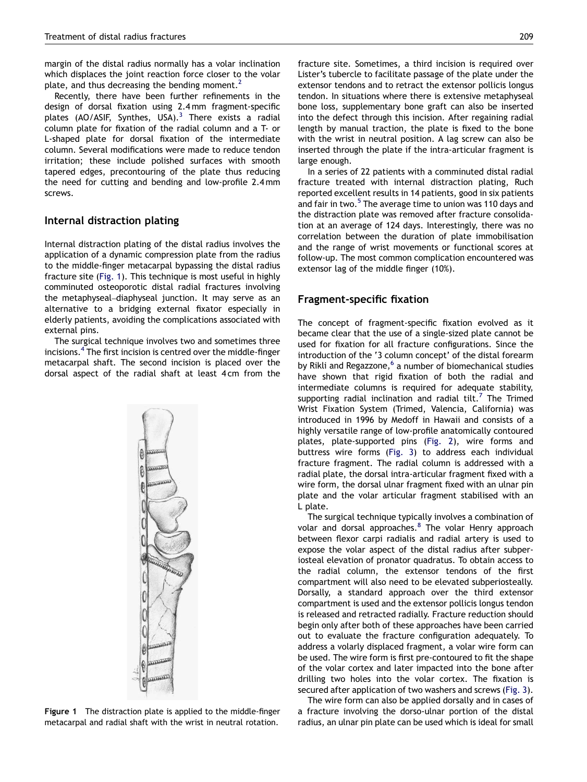margin of the distal radius normally has a volar inclination which displaces the joint reaction force closer to the volar plate, and thus decreasing the bending moment.<sup>[2](#page-3-0)</sup>

Recently, there have been further refinements in the design of dorsal fixation using 2.4 mm fragment-specific plates (AO/ASIF, Synthes, USA).<sup>[3](#page-3-0)</sup> There exists a radial column plate for fixation of the radial column and a T- or L-shaped plate for dorsal fixation of the intermediate column. Several modifications were made to reduce tendon irritation; these include polished surfaces with smooth tapered edges, precontouring of the plate thus reducing the need for cutting and bending and low-profile 2.4 mm screws.

#### Internal distraction plating

Internal distraction plating of the distal radius involves the application of a dynamic compression plate from the radius to the middle-finger metacarpal bypassing the distal radius fracture site (Fig. 1). This technique is most useful in highly comminuted osteoporotic distal radial fractures involving the metaphyseal–diaphyseal junction. It may serve as an alternative to a bridging external fixator especially in elderly patients, avoiding the complications associated with external pins.

The surgical technique involves two and sometimes three incisions.<sup>[4](#page-3-0)</sup> The first incision is centred over the middle-finger metacarpal shaft. The second incision is placed over the dorsal aspect of the radial shaft at least 4 cm from the

ß

Figure 1 The distraction plate is applied to the middle-finger metacarpal and radial shaft with the wrist in neutral rotation.

fracture site. Sometimes, a third incision is required over Lister's tubercle to facilitate passage of the plate under the extensor tendons and to retract the extensor pollicis longus tendon. In situations where there is extensive metaphyseal bone loss, supplementary bone graft can also be inserted into the defect through this incision. After regaining radial length by manual traction, the plate is fixed to the bone with the wrist in neutral position. A lag screw can also be inserted through the plate if the intra-articular fragment is large enough.

In a series of 22 patients with a comminuted distal radial fracture treated with internal distraction plating, Ruch reported excellent results in 14 patients, good in six patients and fair in two.<sup>[5](#page-3-0)</sup> The average time to union was 110 days and the distraction plate was removed after fracture consolidation at an average of 124 days. Interestingly, there was no correlation between the duration of plate immobilisation and the range of wrist movements or functional scores at follow-up. The most common complication encountered was extensor lag of the middle finger (10%).

#### Fragment-specific fixation

The concept of fragment-specific fixation evolved as it became clear that the use of a single-sized plate cannot be used for fixation for all fracture configurations. Since the introduction of the '3 column concept' of the distal forearm by Rikli and Regazzone,<sup>[6](#page-3-0)</sup> a number of biomechanical studies have shown that rigid fixation of both the radial and intermediate columns is required for adequate stability, supporting radial inclination and radial tilt.<sup>[7](#page-3-0)</sup> The Trimed Wrist Fixation System (Trimed, Valencia, California) was introduced in 1996 by Medoff in Hawaii and consists of a highly versatile range of low-profile anatomically contoured plates, plate-supported pins [\(Fig. 2\)](#page-2-0), wire forms and buttress wire forms ([Fig. 3\)](#page-2-0) to address each individual fracture fragment. The radial column is addressed with a radial plate, the dorsal intra-articular fragment fixed with a wire form, the dorsal ulnar fragment fixed with an ulnar pin plate and the volar articular fragment stabilised with an L plate.

The surgical technique typically involves a combination of volar and dorsal approaches.<sup>[8](#page-3-0)</sup> The volar Henry approach between flexor carpi radialis and radial artery is used to expose the volar aspect of the distal radius after subperiosteal elevation of pronator quadratus. To obtain access to the radial column, the extensor tendons of the first compartment will also need to be elevated subperiosteally. Dorsally, a standard approach over the third extensor compartment is used and the extensor pollicis longus tendon is released and retracted radially. Fracture reduction should begin only after both of these approaches have been carried out to evaluate the fracture configuration adequately. To address a volarly displaced fragment, a volar wire form can be used. The wire form is first pre-contoured to fit the shape of the volar cortex and later impacted into the bone after drilling two holes into the volar cortex. The fixation is secured after application of two washers and screws [\(Fig. 3\)](#page-2-0).

The wire form can also be applied dorsally and in cases of a fracture involving the dorso-ulnar portion of the distal radius, an ulnar pin plate can be used which is ideal for small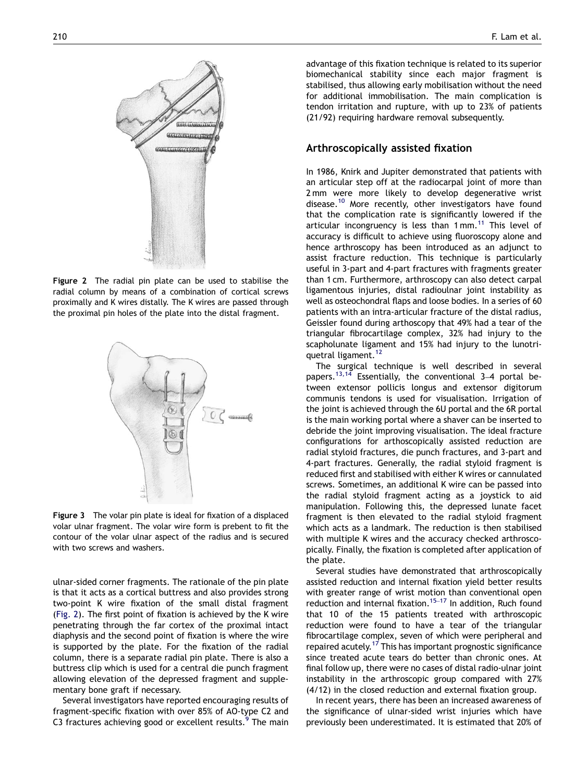<span id="page-2-0"></span>

Figure 2 The radial pin plate can be used to stabilise the radial column by means of a combination of cortical screws proximally and K wires distally. The K wires are passed through the proximal pin holes of the plate into the distal fragment.



Figure 3 The volar pin plate is ideal for fixation of a displaced volar ulnar fragment. The volar wire form is prebent to fit the contour of the volar ulnar aspect of the radius and is secured with two screws and washers.

ulnar-sided corner fragments. The rationale of the pin plate is that it acts as a cortical buttress and also provides strong two-point K wire fixation of the small distal fragment (Fig. 2). The first point of fixation is achieved by the K wire penetrating through the far cortex of the proximal intact diaphysis and the second point of fixation is where the wire is supported by the plate. For the fixation of the radial column, there is a separate radial pin plate. There is also a buttress clip which is used for a central die punch fragment allowing elevation of the depressed fragment and supplementary bone graft if necessary.

Several investigators have reported encouraging results of fragment-specific fixation with over 85% of AO-type C2 and C3 fractures achieving good or excellent results.<sup>[9](#page-3-0)</sup> The main advantage of this fixation technique is related to its superior biomechanical stability since each major fragment is stabilised, thus allowing early mobilisation without the need for additional immobilisation. The main complication is tendon irritation and rupture, with up to 23% of patients (21/92) requiring hardware removal subsequently.

#### Arthroscopically assisted fixation

In 1986, Knirk and Jupiter demonstrated that patients with an articular step off at the radiocarpal joint of more than 2 mm were more likely to develop degenerative wrist disease.<sup>[10](#page-3-0)</sup> More recently, other investigators have found that the complication rate is significantly lowered if the articular incongruency is less than 1 mm.<sup>[11](#page-3-0)</sup> This level of accuracy is difficult to achieve using fluoroscopy alone and hence arthroscopy has been introduced as an adjunct to assist fracture reduction. This technique is particularly useful in 3-part and 4-part fractures with fragments greater than 1 cm. Furthermore, arthroscopy can also detect carpal ligamentous injuries, distal radioulnar joint instability as well as osteochondral flaps and loose bodies. In a series of 60 patients with an intra-articular fracture of the distal radius, Geissler found during arthoscopy that 49% had a tear of the triangular fibrocartilage complex, 32% had injury to the scapholunate ligament and 15% had injury to the lunotri-quetral ligament.<sup>[12](#page-3-0)</sup>

The surgical technique is well described in several papers.<sup>[13,14](#page-3-0)</sup> Essentially, the conventional 3–4 portal between extensor pollicis longus and extensor digitorum communis tendons is used for visualisation. Irrigation of the joint is achieved through the 6U portal and the 6R portal is the main working portal where a shaver can be inserted to debride the joint improving visualisation. The ideal fracture configurations for arthoscopically assisted reduction are radial styloid fractures, die punch fractures, and 3-part and 4-part fractures. Generally, the radial styloid fragment is reduced first and stabilised with either K wires or cannulated screws. Sometimes, an additional K wire can be passed into the radial styloid fragment acting as a joystick to aid manipulation. Following this, the depressed lunate facet fragment is then elevated to the radial styloid fragment which acts as a landmark. The reduction is then stabilised with multiple K wires and the accuracy checked arthroscopically. Finally, the fixation is completed after application of the plate.

Several studies have demonstrated that arthroscopically assisted reduction and internal fixation yield better results with greater range of wrist motion than conventional open reduction and internal fixation.<sup>15–17</sup> In addition, Ruch found that 10 of the 15 patients treated with arthroscopic reduction were found to have a tear of the triangular fibrocartilage complex, seven of which were peripheral and repaired acutely.<sup>[17](#page-3-0)</sup> This has important prognostic significance since treated acute tears do better than chronic ones. At final follow up, there were no cases of distal radio-ulnar joint instability in the arthroscopic group compared with 27% (4/12) in the closed reduction and external fixation group.

In recent years, there has been an increased awareness of the significance of ulnar-sided wrist injuries which have previously been underestimated. It is estimated that 20% of